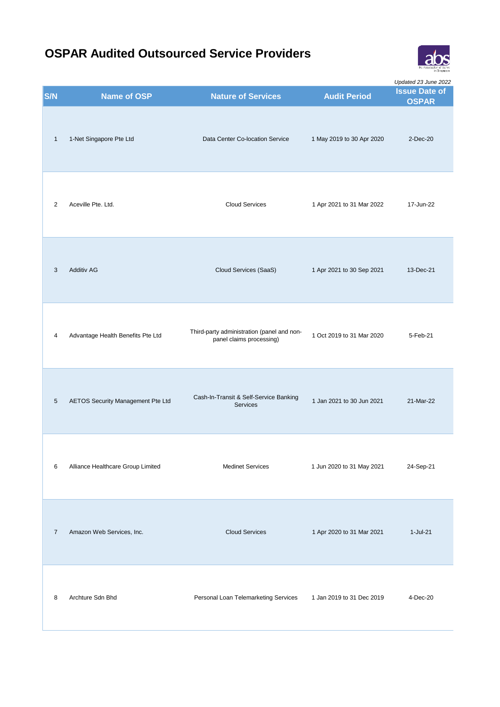

| S/N            | <b>Name of OSP</b>                | <b>Nature of Services</b>                                              | <b>Audit Period</b>       | Updated 23 June 2022<br><b>Issue Date of</b><br><b>OSPAR</b> |
|----------------|-----------------------------------|------------------------------------------------------------------------|---------------------------|--------------------------------------------------------------|
| $\mathbf{1}$   | 1-Net Singapore Pte Ltd           | Data Center Co-location Service                                        | 1 May 2019 to 30 Apr 2020 | $2$ -Dec-20                                                  |
| 2              | Aceville Pte. Ltd.                | <b>Cloud Services</b>                                                  | 1 Apr 2021 to 31 Mar 2022 | 17-Jun-22                                                    |
| 3              | Additiv AG                        | Cloud Services (SaaS)                                                  | 1 Apr 2021 to 30 Sep 2021 | 13-Dec-21                                                    |
| 4              | Advantage Health Benefits Pte Ltd | Third-party administration (panel and non-<br>panel claims processing) | 1 Oct 2019 to 31 Mar 2020 | 5-Feb-21                                                     |
| $\sqrt{5}$     | AETOS Security Management Pte Ltd | Cash-In-Transit & Self-Service Banking<br><b>Services</b>              | 1 Jan 2021 to 30 Jun 2021 | 21-Mar-22                                                    |
| 6              | Alliance Healthcare Group Limited | <b>Medinet Services</b>                                                | 1 Jun 2020 to 31 May 2021 | 24-Sep-21                                                    |
| $\overline{7}$ | Amazon Web Services, Inc.         | <b>Cloud Services</b>                                                  | 1 Apr 2020 to 31 Mar 2021 | 1-Jul-21                                                     |
| 8              | Archture Sdn Bhd                  | Personal Loan Telemarketing Services                                   | 1 Jan 2019 to 31 Dec 2019 | 4-Dec-20                                                     |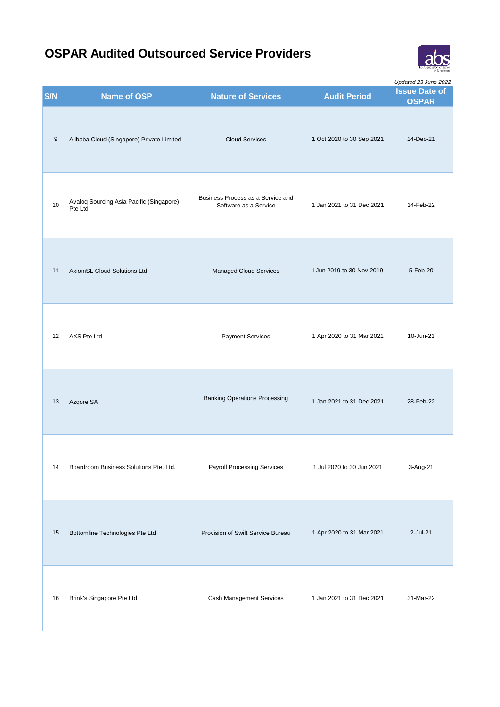

**S/N Name of OSP Nature of Services Audit Period Issue Date of CONC OSPAR** *Updated 23 June 2022* 9 Alibaba Cloud (Singapore) Private Limited Cloud Services 1 Oct 2020 to 30 Sep 2021 14-Dec-21 <sup>10</sup> Avaloq Sourcing Asia Pacific (Singapore) Pte Ltd Business Process as a Service and 1 Jan 2021 to 31 Dec 2021 14-Feb-22 11 AxiomSL Cloud Solutions Ltd Managed Cloud Services I Jun 2019 to 30 Nov 2019 5-Feb-20 12 AXS Pte Ltd Payment Services 1 Apr 2020 to 31 Mar 2021 10-Jun-21 13 Azqore SA **Banking Operations Processing** 1 Jan 2021 to 31 Dec 2021 28-Feb-22 14 Boardroom Business Solutions Pte. Ltd. Payroll Processing Services 1 Jul 2020 to 30 Jun 2021 3-Aug-21 15 Bottomline Technologies Pte Ltd Provision of Swift Service Bureau 1 Apr 2020 to 31 Mar 2021 2-Jul-21 16 Brink's Singapore Pte Ltd Cash Management Services 1 Jan 2021 to 31 Dec 2021 31-Mar-22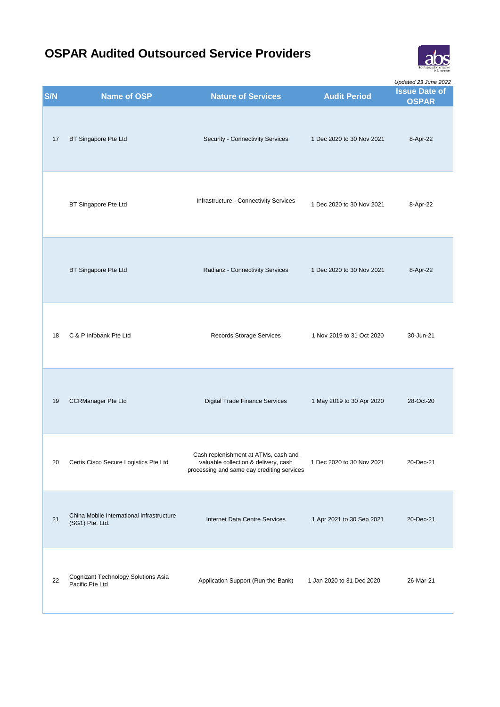

| S/N | Name of OSP                                                  | <b>Nature of Services</b>                                                                                                  | <b>Audit Period</b>       | Updated 23 June 2022<br><b>Issue Date of</b> |
|-----|--------------------------------------------------------------|----------------------------------------------------------------------------------------------------------------------------|---------------------------|----------------------------------------------|
| 17  | BT Singapore Pte Ltd                                         | Security - Connectivity Services                                                                                           | 1 Dec 2020 to 30 Nov 2021 | <b>OSPAR</b><br>8-Apr-22                     |
|     | BT Singapore Pte Ltd                                         | Infrastructure - Connectivity Services                                                                                     | 1 Dec 2020 to 30 Nov 2021 | 8-Apr-22                                     |
|     | BT Singapore Pte Ltd                                         | Radianz - Connectivity Services                                                                                            | 1 Dec 2020 to 30 Nov 2021 | 8-Apr-22                                     |
| 18  | C & P Infobank Pte Ltd                                       | Records Storage Services                                                                                                   | 1 Nov 2019 to 31 Oct 2020 | 30-Jun-21                                    |
| 19  | <b>CCRManager Pte Ltd</b>                                    | Digital Trade Finance Services                                                                                             | 1 May 2019 to 30 Apr 2020 | 28-Oct-20                                    |
| 20  | Certis Cisco Secure Logistics Pte Ltd                        | Cash replenishment at ATMs, cash and<br>valuable collection & delivery, cash<br>processing and same day crediting services | 1 Dec 2020 to 30 Nov 2021 | 20-Dec-21                                    |
| 21  | China Mobile International Infrastructure<br>(SG1) Pte. Ltd. | Internet Data Centre Services                                                                                              | 1 Apr 2021 to 30 Sep 2021 | 20-Dec-21                                    |
| 22  | Cognizant Technology Solutions Asia<br>Pacific Pte Ltd       | Application Support (Run-the-Bank)                                                                                         | 1 Jan 2020 to 31 Dec 2020 | 26-Mar-21                                    |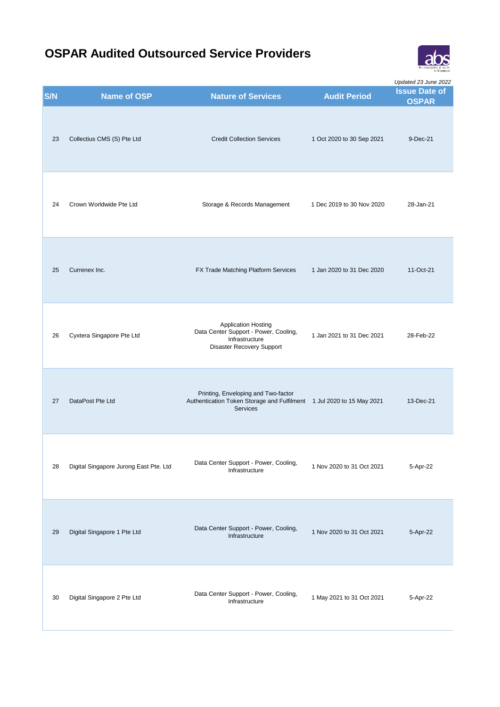

| S/N | <b>Name of OSP</b>                     | <b>Nature of Services</b>                                                                                                       | <b>Audit Period</b>       | Updated 23 June 2022<br><b>Issue Date of</b><br><b>OSPAR</b> |
|-----|----------------------------------------|---------------------------------------------------------------------------------------------------------------------------------|---------------------------|--------------------------------------------------------------|
| 23  | Collectius CMS (S) Pte Ltd             | <b>Credit Collection Services</b>                                                                                               | 1 Oct 2020 to 30 Sep 2021 | 9-Dec-21                                                     |
| 24  | Crown Worldwide Pte Ltd                | Storage & Records Management                                                                                                    | 1 Dec 2019 to 30 Nov 2020 | 28-Jan-21                                                    |
| 25  | Currenex Inc.                          | FX Trade Matching Platform Services                                                                                             | 1 Jan 2020 to 31 Dec 2020 | 11-Oct-21                                                    |
| 26  | Cyxtera Singapore Pte Ltd              | <b>Application Hosting</b><br>Data Center Support - Power, Cooling,<br>Infrastructure<br>Disaster Recovery Support              | 1 Jan 2021 to 31 Dec 2021 | 28-Feb-22                                                    |
| 27  | DataPost Pte Ltd                       | Printing, Enveloping and Two-factor<br>Authentication Token Storage and Fulfilment 1 Jul 2020 to 15 May 2021<br><b>Services</b> |                           | 13-Dec-21                                                    |
| 28  | Digital Singapore Jurong East Pte. Ltd | Data Center Support - Power, Cooling,<br>Infrastructure                                                                         | 1 Nov 2020 to 31 Oct 2021 | 5-Apr-22                                                     |
| 29  | Digital Singapore 1 Pte Ltd            | Data Center Support - Power, Cooling,<br>Infrastructure                                                                         | 1 Nov 2020 to 31 Oct 2021 | 5-Apr-22                                                     |
| 30  | Digital Singapore 2 Pte Ltd            | Data Center Support - Power, Cooling,<br>Infrastructure                                                                         | 1 May 2021 to 31 Oct 2021 | 5-Apr-22                                                     |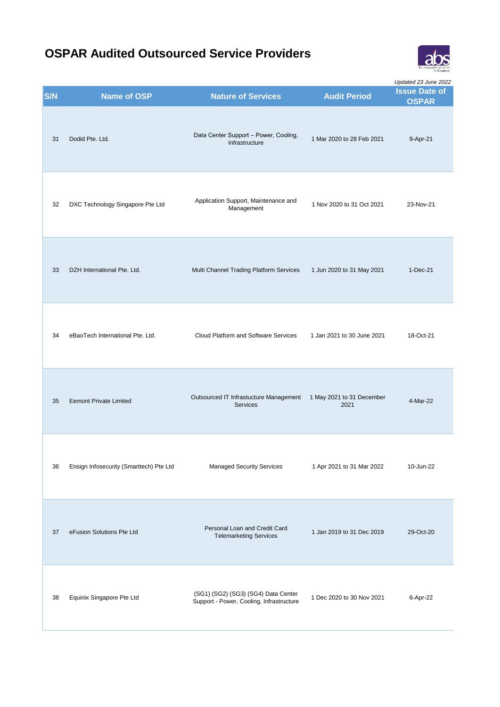

**OSPAR** *Updated 23 June 2022*

| S/N | <b>Name of OSP</b>                      | <b>Nature of Services</b>                                                       | <b>Audit Period</b>               | <b>Issue Date of</b><br><b>OSPAR</b> |
|-----|-----------------------------------------|---------------------------------------------------------------------------------|-----------------------------------|--------------------------------------|
| 31  | Dodid Pte. Ltd.                         | Data Center Support - Power, Cooling,<br>Infrastructure                         | 1 Mar 2020 to 28 Feb 2021         | 9-Apr-21                             |
| 32  | DXC Technology Singapore Pte Ltd        | Application Support, Maintenance and<br>Management                              | 1 Nov 2020 to 31 Oct 2021         | 23-Nov-21                            |
| 33  | DZH International Pte. Ltd.             | Multi Channel Trading Platform Services                                         | 1 Jun 2020 to 31 May 2021         | 1-Dec-21                             |
| 34  | eBaoTech International Pte. Ltd.        | Cloud Platform and Software Services                                            | 1 Jan 2021 to 30 June 2021        | 18-Oct-21                            |
| 35  | <b>Eemont Private Limited</b>           | Outsourced IT Infrastucture Management<br><b>Services</b>                       | 1 May 2021 to 31 December<br>2021 | 4-Mar-22                             |
| 36  | Ensign Infosecurity (Smarttech) Pte Ltd | <b>Managed Security Services</b>                                                | 1 Apr 2021 to 31 Mar 2022         | 10-Jun-22                            |
| 37  | eFusion Solutions Pte Ltd               | Personal Loan and Credit Card<br><b>Telemarketing Services</b>                  | 1 Jan 2019 to 31 Dec 2019         | 29-Oct-20                            |
| 38  | Equinix Singapore Pte Ltd               | (SG1) (SG2) (SG3) (SG4) Data Center<br>Support - Power, Cooling, Infrastructure | 1 Dec 2020 to 30 Nov 2021         | 6-Apr-22                             |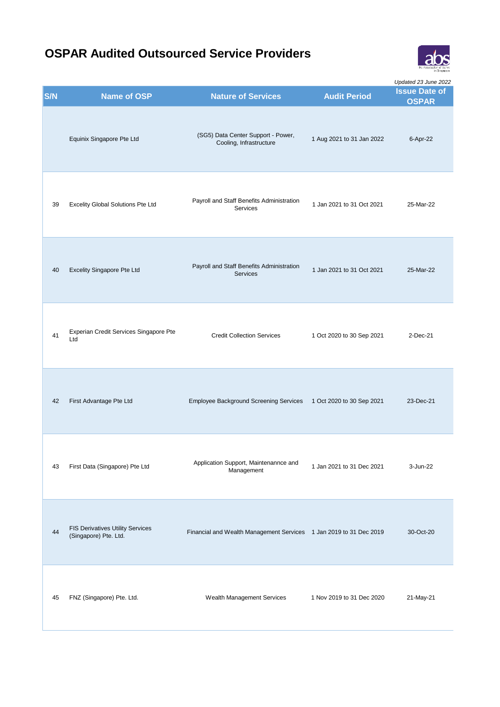

**S/N Name of OSP Nature of Services Audit Period Issue Date of CONC OSPAR** *Updated 23 June 2022* Equinix Singapore Pte Ltd (SG5) Data Center Support - Power, Cooling, Infrastructure 1 Aug 2021 to 31 Jan 2022 6-Apr-22 <sup>39</sup> Excelity Global Solutions Pte Ltd Payroll and Staff Benefits Administration Services 1 Jan 2021 to 31 Oct 2021 25-Mar-22 <sup>40</sup> Excelity Singapore Pte Ltd Payroll and Staff Benefits Administration Services 1 Jan 2021 to 31 Oct 2021 25-Mar-22 <sup>41</sup> Experian Credit Services Singapore Pte Credit Collection Services 1 Oct 2020 to 30 Sep 2021 2-Dec-21 42 First Advantage Pte Ltd Employee Background Screening Services 1 Oct 2020 to 30 Sep 2021 23-Dec-21 <sup>43</sup> First Data (Singapore) Pte Ltd Application Support, Maintenannce and 1 Jan 2021 to 31 Dec 2021 3-Jun-22 FIS Derivatives Utility Services<br>(Singapore) Pte. Ltd. Financial and Wealth Management Services 1 Jan 2019 to 31 Dec 2019 30-Oct-20 45 FNZ (Singapore) Pte. Ltd. Wealth Management Services 1 Nov 2019 to 31 Dec 2020 21-May-21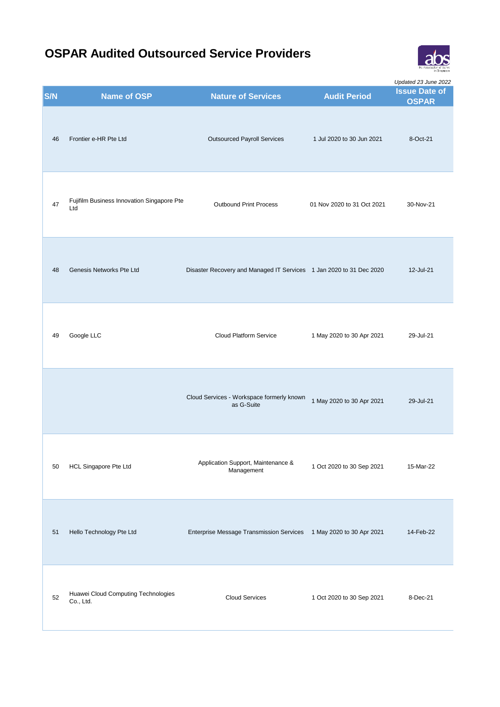

| S/N | <b>Name of OSP</b>                                | <b>Nature of Services</b>                                           | <b>Audit Period</b>        | Updated 23 June 2022<br><b>Issue Date of</b> |
|-----|---------------------------------------------------|---------------------------------------------------------------------|----------------------------|----------------------------------------------|
| 46  | Frontier e-HR Pte Ltd                             | <b>Outsourced Payroll Services</b>                                  | 1 Jul 2020 to 30 Jun 2021  | <b>OSPAR</b><br>8-Oct-21                     |
| 47  | Fujifilm Business Innovation Singapore Pte<br>Ltd | <b>Outbound Print Process</b>                                       | 01 Nov 2020 to 31 Oct 2021 | 30-Nov-21                                    |
| 48  | Genesis Networks Pte Ltd                          | Disaster Recovery and Managed IT Services 1 Jan 2020 to 31 Dec 2020 |                            | 12-Jul-21                                    |
| 49  | Google LLC                                        | <b>Cloud Platform Service</b>                                       | 1 May 2020 to 30 Apr 2021  | 29-Jul-21                                    |
|     |                                                   | Cloud Services - Workspace formerly known<br>as G-Suite             | 1 May 2020 to 30 Apr 2021  | 29-Jul-21                                    |
| 50  | HCL Singapore Pte Ltd                             | Application Support, Maintenance &<br>Management                    | 1 Oct 2020 to 30 Sep 2021  | 15-Mar-22                                    |
| 51  | Hello Technology Pte Ltd                          | <b>Enterprise Message Transmission Services</b>                     | 1 May 2020 to 30 Apr 2021  | 14-Feb-22                                    |
| 52  | Huawei Cloud Computing Technologies<br>Co., Ltd.  | <b>Cloud Services</b>                                               | 1 Oct 2020 to 30 Sep 2021  | 8-Dec-21                                     |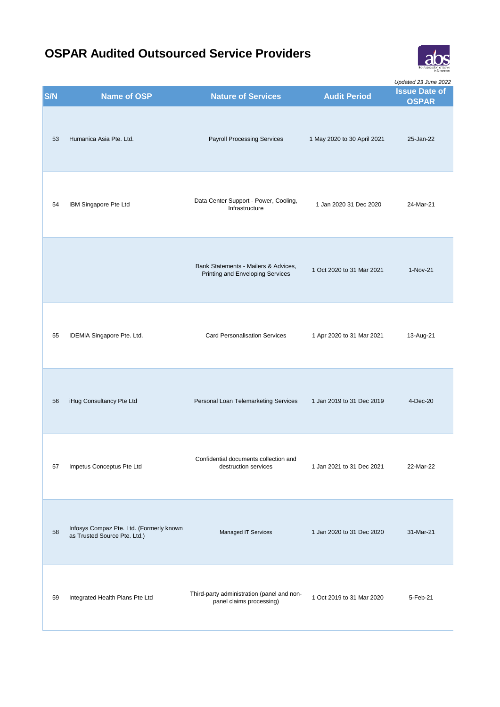

|     |                                                                          |                                                                          |                             | Updated 23 June 2022                 |
|-----|--------------------------------------------------------------------------|--------------------------------------------------------------------------|-----------------------------|--------------------------------------|
| S/N | <b>Name of OSP</b>                                                       | <b>Nature of Services</b>                                                | <b>Audit Period</b>         | <b>Issue Date of</b><br><b>OSPAR</b> |
| 53  | Humanica Asia Pte. Ltd.                                                  | <b>Payroll Processing Services</b>                                       | 1 May 2020 to 30 April 2021 | 25-Jan-22                            |
| 54  | IBM Singapore Pte Ltd                                                    | Data Center Support - Power, Cooling,<br>Infrastructure                  | 1 Jan 2020 31 Dec 2020      | 24-Mar-21                            |
|     |                                                                          | Bank Statements - Mailers & Advices,<br>Printing and Enveloping Services | 1 Oct 2020 to 31 Mar 2021   | $1-Nov-21$                           |
| 55  | IDEMIA Singapore Pte. Ltd.                                               | <b>Card Personalisation Services</b>                                     | 1 Apr 2020 to 31 Mar 2021   | 13-Aug-21                            |
| 56  | iHug Consultancy Pte Ltd                                                 | Personal Loan Telemarketing Services                                     | 1 Jan 2019 to 31 Dec 2019   | 4-Dec-20                             |
| 57  | Impetus Conceptus Pte Ltd                                                | Confidential documents collection and<br>destruction services            | 1 Jan 2021 to 31 Dec 2021   | 22-Mar-22                            |
| 58  | Infosys Compaz Pte. Ltd. (Formerly known<br>as Trusted Source Pte. Ltd.) | Managed IT Services                                                      | 1 Jan 2020 to 31 Dec 2020   | 31-Mar-21                            |
| 59  | Integrated Health Plans Pte Ltd                                          | Third-party administration (panel and non-<br>panel claims processing)   | 1 Oct 2019 to 31 Mar 2020   | 5-Feb-21                             |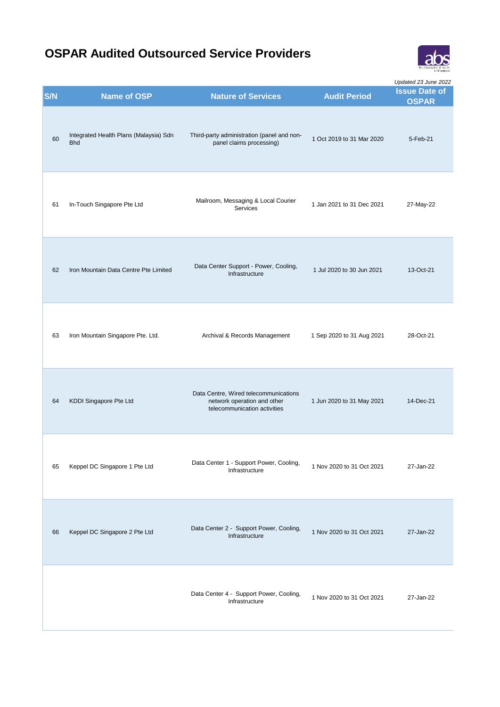

| S/N | <b>Name of OSP</b>                                   | <b>Nature of Services</b>                                                                            | <b>Audit Period</b>       | Updated 23 June 2022<br><b>Issue Date of</b><br><b>OSPAR</b> |
|-----|------------------------------------------------------|------------------------------------------------------------------------------------------------------|---------------------------|--------------------------------------------------------------|
| 60  | Integrated Health Plans (Malaysia) Sdn<br><b>Bhd</b> | Third-party administration (panel and non-<br>panel claims processing)                               | 1 Oct 2019 to 31 Mar 2020 | 5-Feb-21                                                     |
| 61  | In-Touch Singapore Pte Ltd                           | Mailroom, Messaging & Local Courier<br>Services                                                      | 1 Jan 2021 to 31 Dec 2021 | 27-May-22                                                    |
| 62  | Iron Mountain Data Centre Pte Limited                | Data Center Support - Power, Cooling,<br>Infrastructure                                              | 1 Jul 2020 to 30 Jun 2021 | 13-Oct-21                                                    |
| 63  | Iron Mountain Singapore Pte. Ltd.                    | Archival & Records Management                                                                        | 1 Sep 2020 to 31 Aug 2021 | 28-Oct-21                                                    |
| 64  | KDDI Singapore Pte Ltd                               | Data Centre, Wired telecommunications<br>network operation and other<br>telecommunication activities | 1 Jun 2020 to 31 May 2021 | 14-Dec-21                                                    |
| 65  | Keppel DC Singapore 1 Pte Ltd                        | Data Center 1 - Support Power, Cooling,<br>Infrastructure                                            | 1 Nov 2020 to 31 Oct 2021 | 27-Jan-22                                                    |
| 66  | Keppel DC Singapore 2 Pte Ltd                        | Data Center 2 - Support Power, Cooling,<br>Infrastructure                                            | 1 Nov 2020 to 31 Oct 2021 | 27-Jan-22                                                    |
|     |                                                      | Data Center 4 - Support Power, Cooling,<br>Infrastructure                                            | 1 Nov 2020 to 31 Oct 2021 | 27-Jan-22                                                    |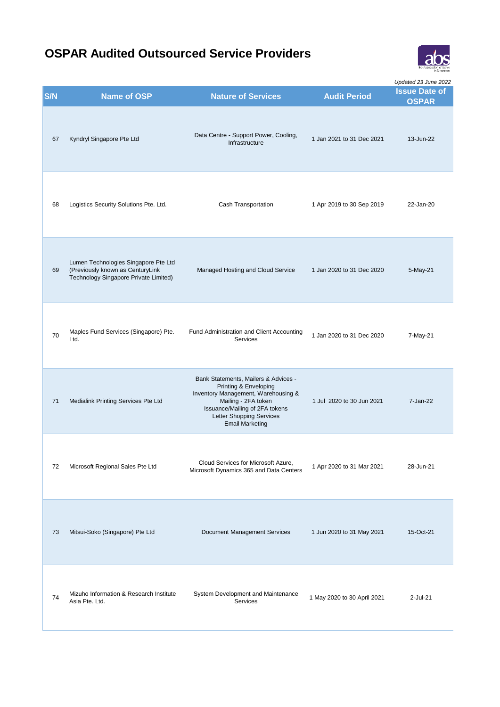

| S/N | <b>Name of OSP</b>                                                                                                | <b>Nature of Services</b>                                                                                                                                                                                                  | <b>Audit Period</b>         | Updated 23 June 2022<br><b>Issue Date of</b><br><b>OSPAR</b> |
|-----|-------------------------------------------------------------------------------------------------------------------|----------------------------------------------------------------------------------------------------------------------------------------------------------------------------------------------------------------------------|-----------------------------|--------------------------------------------------------------|
| 67  | Kyndryl Singapore Pte Ltd                                                                                         | Data Centre - Support Power, Cooling,<br>Infrastructure                                                                                                                                                                    | 1 Jan 2021 to 31 Dec 2021   | 13-Jun-22                                                    |
| 68  | Logistics Security Solutions Pte. Ltd.                                                                            | Cash Transportation                                                                                                                                                                                                        | 1 Apr 2019 to 30 Sep 2019   | 22-Jan-20                                                    |
| 69  | Lumen Technologies Singapore Pte Ltd<br>(Previously known as CenturyLink<br>Technology Singapore Private Limited) | Managed Hosting and Cloud Service                                                                                                                                                                                          | 1 Jan 2020 to 31 Dec 2020   | 5-May-21                                                     |
| 70  | Maples Fund Services (Singapore) Pte.<br>Ltd.                                                                     | Fund Administration and Client Accounting<br><b>Services</b>                                                                                                                                                               | 1 Jan 2020 to 31 Dec 2020   | 7-May-21                                                     |
| 71  | Medialink Printing Services Pte Ltd                                                                               | Bank Statements, Mailers & Advices -<br>Printing & Enveloping<br>Inventory Management, Warehousing &<br>Mailing - 2FA token<br>Issuance/Mailing of 2FA tokens<br><b>Letter Shopping Services</b><br><b>Email Marketing</b> | 1 Jul 2020 to 30 Jun 2021   | 7-Jan-22                                                     |
| 72  | Microsoft Regional Sales Pte Ltd                                                                                  | Cloud Services for Microsoft Azure,<br>Microsoft Dynamics 365 and Data Centers                                                                                                                                             | 1 Apr 2020 to 31 Mar 2021   | 28-Jun-21                                                    |
| 73  | Mitsui-Soko (Singapore) Pte Ltd                                                                                   | Document Management Services                                                                                                                                                                                               | 1 Jun 2020 to 31 May 2021   | 15-Oct-21                                                    |
| 74  | Mizuho Information & Research Institute<br>Asia Pte. Ltd.                                                         | System Development and Maintenance<br>Services                                                                                                                                                                             | 1 May 2020 to 30 April 2021 | 2-Jul-21                                                     |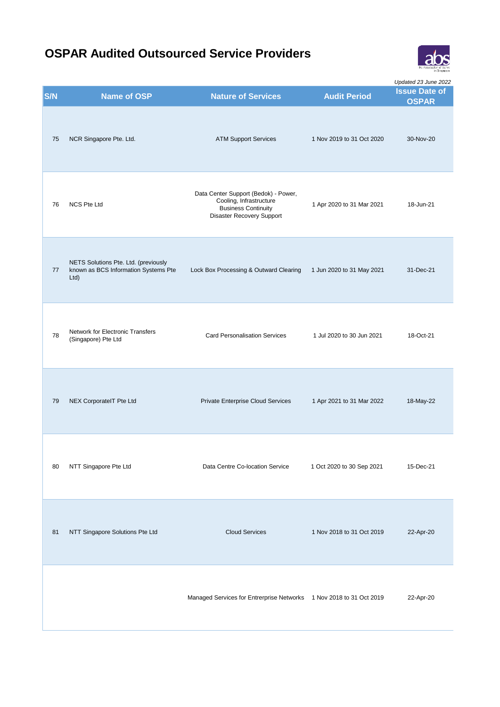

**S/N Name of OSP Nature of Services Audit Period Issue Date of CONC OSPAR** *Updated 23 June 2022* 75 NCR Singapore Pte. Ltd. ATM Support Services 1 Nov 2019 to 31 Oct 2020 30-Nov-20 76 NCS Pte Ltd Data Center Support (Bedok) - Power, Cooling, Infrastructure Business Continuity Disaster Recovery Support 1 Apr 2020 to 31 Mar 2021 18-Jun-21 77 NETS Solutions Pte. Ltd. (previously known as BCS Information Systems Pte Ltd) Lock Box Processing & Outward Clearing 1 Jun 2020 to 31 May 2021 31-Dec-21 78 Network for Electronic Transfers<br>(Singapore) Pte Ltd Card Personalisation Services 1 Jul 2020 to 30 Jun 2021 18-Oct-21 79 NEX CorporateIT Pte Ltd Private Enterprise Cloud Services 1 Apr 2021 to 31 Mar 2022 18-May-22 80 NTT Singapore Pte Ltd Data Centre Co-location Service 1 Oct 2020 to 30 Sep 2021 15-Dec-21 81 NTT Singapore Solutions Pte Ltd Cloud Services 1 Nov 2018 to 31 Oct 2019 22-Apr-20 Managed Services for Entrerprise Networks 1 Nov 2018 to 31 Oct 2019 22-Apr-20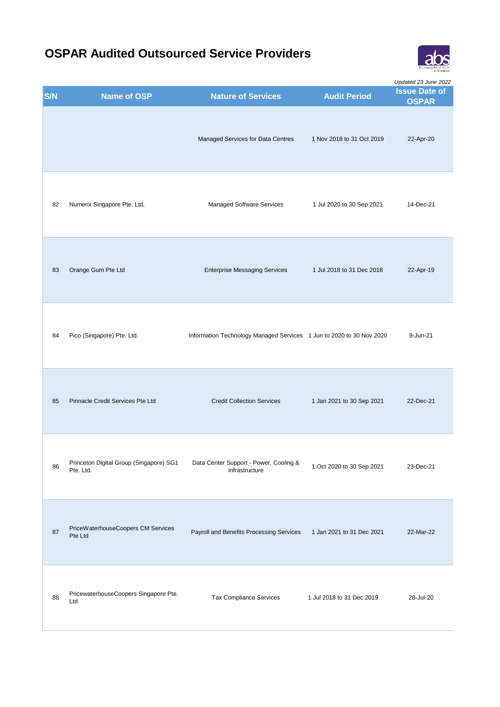

| S/N | <b>Name of OSP</b>                                   | <b>Nature of Services</b>                                            | <b>Audit Period</b>       | Updated 23 June 2022<br><b>Issue Date of</b><br><b>OSPAR</b> |
|-----|------------------------------------------------------|----------------------------------------------------------------------|---------------------------|--------------------------------------------------------------|
|     |                                                      | Managed Services for Data Centres                                    | 1 Nov 2018 to 31 Oct 2019 | 22-Apr-20                                                    |
| 82  | Numerix Singapore Pte. Ltd.                          | Managed Software Services                                            | 1 Jul 2020 to 30 Sep 2021 | 14-Dec-21                                                    |
| 83  | Orange Gum Pte Ltd                                   | <b>Enterprise Messaging Services</b>                                 | 1 Jul 2018 to 31 Dec 2018 | 22-Apr-19                                                    |
| 84  | Pico (Singapore) Pte. Ltd.                           | Information Technology Managed Services 1 Jun to 2020 to 30 Nov 2020 |                           | 9-Jun-21                                                     |
| 85  | Pinnacle Credit Services Pte Ltd                     | <b>Credit Collection Services</b>                                    | 1 Jan 2021 to 30 Sep 2021 | 22-Dec-21                                                    |
| 86  | Princeton Digital Group (Singapore) SG1<br>Pte. Ltd. | Data Center Support - Power, Cooling &<br>Infrastructure             | 1 Oct 2020 to 30 Sep 2021 | 23-Dec-21                                                    |
| 87  | PriceWaterhouseCoopers CM Services<br>Pte Ltd        | Payroll and Benefits Processing Services                             | 1 Jan 2021 to 31 Dec 2021 | 22-Mar-22                                                    |
| 88  | PricewaterhouseCoopers Singapore Pte.<br>Ltd         | Tax Compliance Services                                              | 1 Jul 2018 to 31 Dec 2019 | 28-Jul-20                                                    |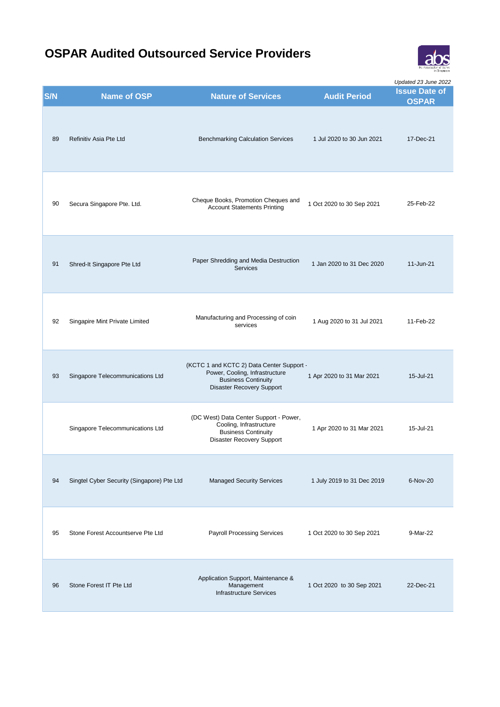

|     |                                            |                                                                                                                                        |                            | Updated 23 June 2022                 |
|-----|--------------------------------------------|----------------------------------------------------------------------------------------------------------------------------------------|----------------------------|--------------------------------------|
| S/N | <b>Name of OSP</b>                         | <b>Nature of Services</b>                                                                                                              | <b>Audit Period</b>        | <b>Issue Date of</b><br><b>OSPAR</b> |
| 89  | Refinitiv Asia Pte Ltd                     | <b>Benchmarking Calculation Services</b>                                                                                               | 1 Jul 2020 to 30 Jun 2021  | 17-Dec-21                            |
| 90  | Secura Singapore Pte. Ltd.                 | Cheque Books, Promotion Cheques and<br><b>Account Statements Printing</b>                                                              | 1 Oct 2020 to 30 Sep 2021  | 25-Feb-22                            |
| 91  | Shred-It Singapore Pte Ltd                 | Paper Shredding and Media Destruction<br><b>Services</b>                                                                               | 1 Jan 2020 to 31 Dec 2020  | 11-Jun-21                            |
| 92  | Singapire Mint Private Limited             | Manufacturing and Processing of coin<br>services                                                                                       | 1 Aug 2020 to 31 Jul 2021  | 11-Feb-22                            |
| 93  | Singapore Telecommunications Ltd           | (KCTC 1 and KCTC 2) Data Center Support -<br>Power, Cooling, Infrastructure<br><b>Business Continuity</b><br>Disaster Recovery Support | 1 Apr 2020 to 31 Mar 2021  | 15-Jul-21                            |
|     | Singapore Telecommunications Ltd           | (DC West) Data Center Support - Power,<br>Cooling, Infrastructure<br><b>Business Continuity</b><br><b>Disaster Recovery Support</b>    | 1 Apr 2020 to 31 Mar 2021  | 15-Jul-21                            |
| 94  | Singtel Cyber Security (Singapore) Pte Ltd | <b>Managed Security Services</b>                                                                                                       | 1 July 2019 to 31 Dec 2019 | 6-Nov-20                             |
| 95  | Stone Forest Accountserve Pte Ltd          | <b>Payroll Processing Services</b>                                                                                                     | 1 Oct 2020 to 30 Sep 2021  | 9-Mar-22                             |
| 96  | Stone Forest IT Pte Ltd                    | Application Support, Maintenance &<br>Management<br><b>Infrastructure Services</b>                                                     | 1 Oct 2020 to 30 Sep 2021  | 22-Dec-21                            |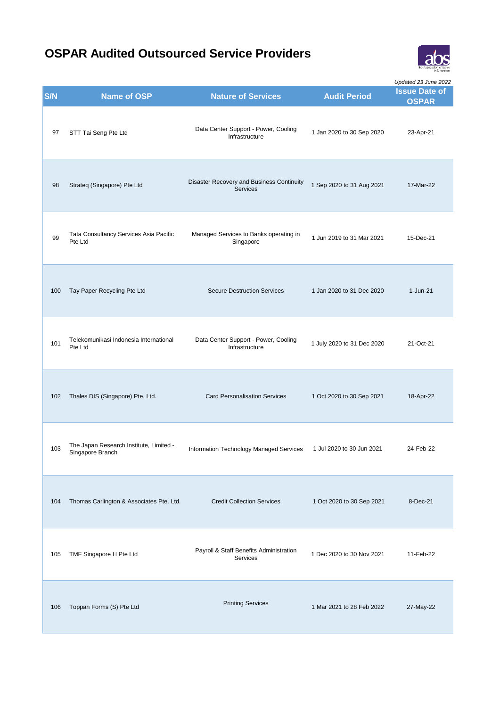

| S/N | <b>Name of OSP</b>                                          | <b>Nature of Services</b>                                    | <b>Audit Period</b>        | Updated 23 June 2022<br><b>Issue Date of</b><br><b>OSPAR</b> |
|-----|-------------------------------------------------------------|--------------------------------------------------------------|----------------------------|--------------------------------------------------------------|
| 97  | STT Tai Seng Pte Ltd                                        | Data Center Support - Power, Cooling<br>Infrastructure       | 1 Jan 2020 to 30 Sep 2020  | 23-Apr-21                                                    |
| 98  | Strateg (Singapore) Pte Ltd                                 | Disaster Recovery and Business Continuity<br><b>Services</b> | 1 Sep 2020 to 31 Aug 2021  | 17-Mar-22                                                    |
| 99  | Tata Consultancy Services Asia Pacific<br>Pte Ltd           | Managed Services to Banks operating in<br>Singapore          | 1 Jun 2019 to 31 Mar 2021  | 15-Dec-21                                                    |
| 100 | Tay Paper Recycling Pte Ltd                                 | <b>Secure Destruction Services</b>                           | 1 Jan 2020 to 31 Dec 2020  | 1-Jun-21                                                     |
| 101 | Telekomunikasi Indonesia International<br>Pte Ltd           | Data Center Support - Power, Cooling<br>Infrastructure       | 1 July 2020 to 31 Dec 2020 | 21-Oct-21                                                    |
| 102 | Thales DIS (Singapore) Pte. Ltd.                            | <b>Card Personalisation Services</b>                         | 1 Oct 2020 to 30 Sep 2021  | 18-Apr-22                                                    |
| 103 | The Japan Research Institute, Limited -<br>Singapore Branch | Information Technology Managed Services                      | 1 Jul 2020 to 30 Jun 2021  | 24-Feb-22                                                    |
| 104 | Thomas Carlington & Associates Pte. Ltd.                    | <b>Credit Collection Services</b>                            | 1 Oct 2020 to 30 Sep 2021  | 8-Dec-21                                                     |
| 105 | TMF Singapore H Pte Ltd                                     | Payroll & Staff Benefits Administration<br>Services          | 1 Dec 2020 to 30 Nov 2021  | 11-Feb-22                                                    |
| 106 | Toppan Forms (S) Pte Ltd                                    | <b>Printing Services</b>                                     | 1 Mar 2021 to 28 Feb 2022  | 27-May-22                                                    |